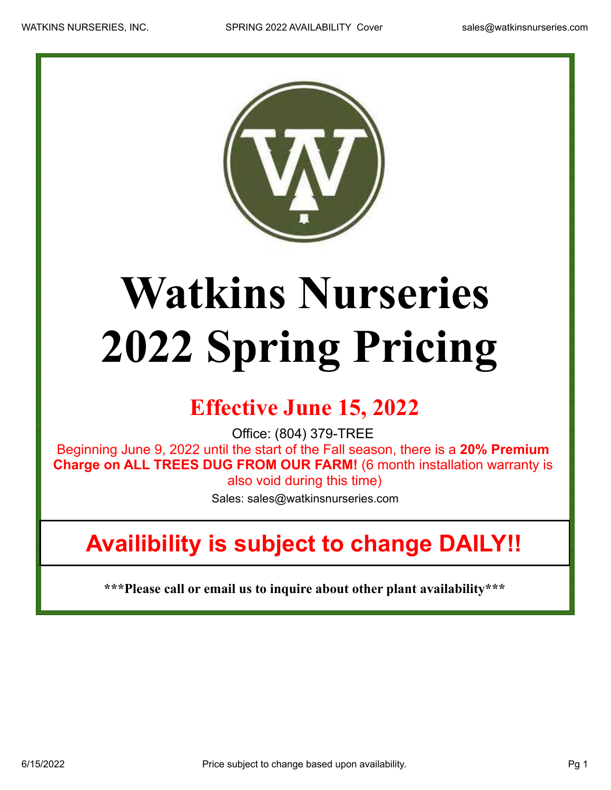

## **Watkins Nurseries 2022 Spring Pricing**

## **Effective June 15, 2022**

Office: (804) 379-TREE

Beginning June 9, 2022 until the start of the Fall season, there is a **20% Premium Charge on ALL TREES DUG FROM OUR FARM!** (6 month installation warranty is also void during this time)

Sales: sales@watkinsnurseries.com

## **Availibility is subject to change DAILY!!**

**\*\*\*Please call or email us to inquire about other plant availability\*\*\***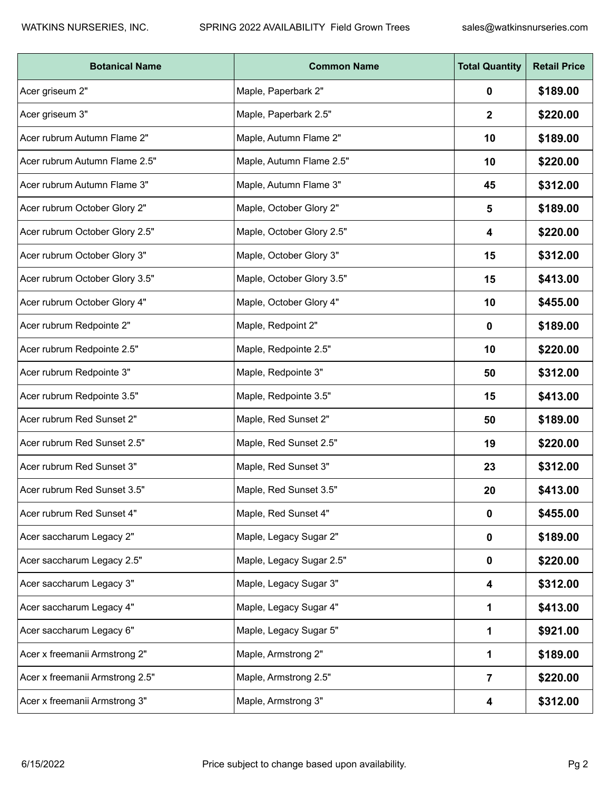| <b>Botanical Name</b>           | <b>Common Name</b>        | <b>Total Quantity</b> | <b>Retail Price</b> |
|---------------------------------|---------------------------|-----------------------|---------------------|
| Acer griseum 2"                 | Maple, Paperbark 2"       | 0                     | \$189.00            |
| Acer griseum 3"                 | Maple, Paperbark 2.5"     | 2                     | \$220.00            |
| Acer rubrum Autumn Flame 2"     | Maple, Autumn Flame 2"    | 10                    | \$189.00            |
| Acer rubrum Autumn Flame 2.5"   | Maple, Autumn Flame 2.5"  | 10                    | \$220.00            |
| Acer rubrum Autumn Flame 3"     | Maple, Autumn Flame 3"    | 45                    | \$312.00            |
| Acer rubrum October Glory 2"    | Maple, October Glory 2"   | 5                     | \$189.00            |
| Acer rubrum October Glory 2.5"  | Maple, October Glory 2.5" | 4                     | \$220.00            |
| Acer rubrum October Glory 3"    | Maple, October Glory 3"   | 15                    | \$312.00            |
| Acer rubrum October Glory 3.5"  | Maple, October Glory 3.5" | 15                    | \$413.00            |
| Acer rubrum October Glory 4"    | Maple, October Glory 4"   | 10                    | \$455.00            |
| Acer rubrum Redpointe 2"        | Maple, Redpoint 2"        | 0                     | \$189.00            |
| Acer rubrum Redpointe 2.5"      | Maple, Redpointe 2.5"     | 10                    | \$220.00            |
| Acer rubrum Redpointe 3"        | Maple, Redpointe 3"       | 50                    | \$312.00            |
| Acer rubrum Redpointe 3.5"      | Maple, Redpointe 3.5"     | 15                    | \$413.00            |
| Acer rubrum Red Sunset 2"       | Maple, Red Sunset 2"      | 50                    | \$189.00            |
| Acer rubrum Red Sunset 2.5"     | Maple, Red Sunset 2.5"    | 19                    | \$220.00            |
| Acer rubrum Red Sunset 3"       | Maple, Red Sunset 3"      | 23                    | \$312.00            |
| Acer rubrum Red Sunset 3.5"     | Maple, Red Sunset 3.5"    | 20                    | \$413.00            |
| Acer rubrum Red Sunset 4"       | Maple, Red Sunset 4"      | 0                     | \$455.00            |
| Acer saccharum Legacy 2"        | Maple, Legacy Sugar 2"    | 0                     | \$189.00            |
| Acer saccharum Legacy 2.5"      | Maple, Legacy Sugar 2.5"  | 0                     | \$220.00            |
| Acer saccharum Legacy 3"        | Maple, Legacy Sugar 3"    | 4                     | \$312.00            |
| Acer saccharum Legacy 4"        | Maple, Legacy Sugar 4"    | 1                     | \$413.00            |
| Acer saccharum Legacy 6"        | Maple, Legacy Sugar 5"    | 1                     | \$921.00            |
| Acer x freemanii Armstrong 2"   | Maple, Armstrong 2"       | 1                     | \$189.00            |
| Acer x freemanii Armstrong 2.5" | Maple, Armstrong 2.5"     | 7                     | \$220.00            |
| Acer x freemanii Armstrong 3"   | Maple, Armstrong 3"       | 4                     | \$312.00            |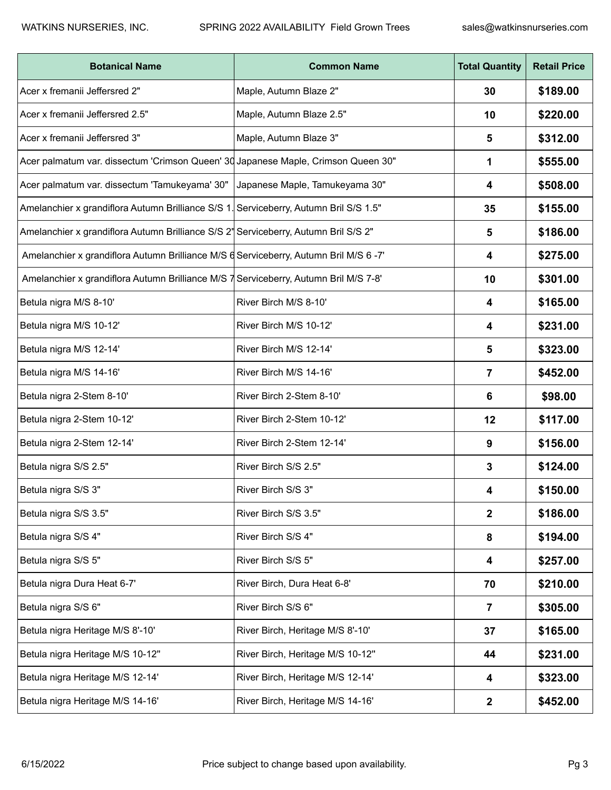| <b>Botanical Name</b>                                                                 | <b>Common Name</b>               | <b>Total Quantity</b> | <b>Retail Price</b> |
|---------------------------------------------------------------------------------------|----------------------------------|-----------------------|---------------------|
| Acer x fremanii Jeffersred 2"                                                         | Maple, Autumn Blaze 2"           | 30                    | \$189.00            |
| Acer x fremanii Jeffersred 2.5"                                                       | Maple, Autumn Blaze 2.5"         | 10                    | \$220.00            |
| Acer x fremanii Jeffersred 3"                                                         | Maple, Autumn Blaze 3"           | 5                     | \$312.00            |
| Acer palmatum var. dissectum 'Crimson Queen' 30 Japanese Maple, Crimson Queen 30"     |                                  | 1                     | \$555.00            |
| Acer palmatum var. dissectum 'Tamukeyama' 30"                                         | Japanese Maple, Tamukeyama 30"   | 4                     | \$508.00            |
| Amelanchier x grandiflora Autumn Brilliance S/S 1. Serviceberry, Autumn Bril S/S 1.5" |                                  | 35                    | \$155.00            |
| Amelanchier x grandiflora Autumn Brilliance S/S 2' Serviceberry, Autumn Bril S/S 2"   |                                  | 5                     | \$186.00            |
| Amelanchier x grandiflora Autumn Brilliance M/S d Serviceberry, Autumn Bril M/S 6 -7' |                                  | 4                     | \$275.00            |
| Amelanchier x grandiflora Autumn Brilliance M/S 7 Serviceberry, Autumn Bril M/S 7-8'  |                                  | 10                    | \$301.00            |
| Betula nigra M/S 8-10'                                                                | River Birch M/S 8-10'            | 4                     | \$165.00            |
| Betula nigra M/S 10-12'                                                               | River Birch M/S 10-12'           | 4                     | \$231.00            |
| Betula nigra M/S 12-14'                                                               | River Birch M/S 12-14'           | 5                     | \$323.00            |
| Betula nigra M/S 14-16'                                                               | River Birch M/S 14-16'           | 7                     | \$452.00            |
| Betula nigra 2-Stem 8-10'                                                             | River Birch 2-Stem 8-10'         | 6                     | \$98.00             |
| Betula nigra 2-Stem 10-12'                                                            | River Birch 2-Stem 10-12'        | 12                    | \$117.00            |
| Betula nigra 2-Stem 12-14'                                                            | River Birch 2-Stem 12-14'        | 9                     | \$156.00            |
| Betula nigra S/S 2.5"                                                                 | River Birch S/S 2.5"             | 3                     | \$124.00            |
| Betula nigra S/S 3"                                                                   | River Birch S/S 3"               | 4                     | \$150.00            |
| Betula nigra S/S 3.5"                                                                 | River Birch S/S 3.5"             | $\mathbf{2}$          | \$186.00            |
| Betula nigra S/S 4"                                                                   | River Birch S/S 4"               | 8                     | \$194.00            |
| Betula nigra S/S 5"                                                                   | River Birch S/S 5"               | 4                     | \$257.00            |
| Betula nigra Dura Heat 6-7'                                                           | River Birch, Dura Heat 6-8'      | 70                    | \$210.00            |
| Betula nigra S/S 6"                                                                   | River Birch S/S 6"               | $\overline{7}$        | \$305.00            |
| Betula nigra Heritage M/S 8'-10'                                                      | River Birch, Heritage M/S 8'-10' | 37                    | \$165.00            |
| Betula nigra Heritage M/S 10-12"                                                      | River Birch, Heritage M/S 10-12" | 44                    | \$231.00            |
| Betula nigra Heritage M/S 12-14'                                                      | River Birch, Heritage M/S 12-14' | 4                     | \$323.00            |
| Betula nigra Heritage M/S 14-16'                                                      | River Birch, Heritage M/S 14-16' | $\boldsymbol{2}$      | \$452.00            |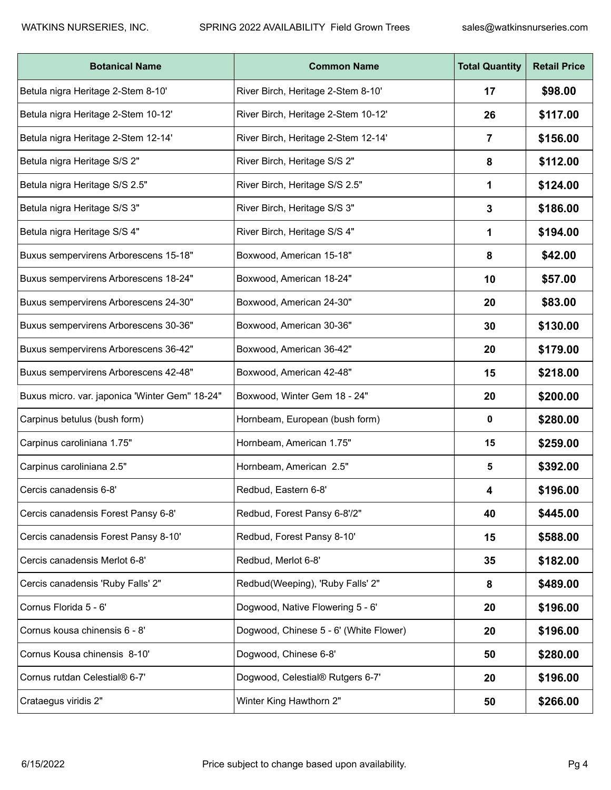| <b>Botanical Name</b>                          | <b>Common Name</b>                     | <b>Total Quantity</b> | <b>Retail Price</b> |
|------------------------------------------------|----------------------------------------|-----------------------|---------------------|
| Betula nigra Heritage 2-Stem 8-10'             | River Birch, Heritage 2-Stem 8-10'     | 17                    | \$98.00             |
| Betula nigra Heritage 2-Stem 10-12'            | River Birch, Heritage 2-Stem 10-12'    | 26                    | \$117.00            |
| Betula nigra Heritage 2-Stem 12-14'            | River Birch, Heritage 2-Stem 12-14'    | 7                     | \$156.00            |
| Betula nigra Heritage S/S 2"                   | River Birch, Heritage S/S 2"           | 8                     | \$112.00            |
| Betula nigra Heritage S/S 2.5"                 | River Birch, Heritage S/S 2.5"         | 1                     | \$124.00            |
| Betula nigra Heritage S/S 3"                   | River Birch, Heritage S/S 3"           | 3                     | \$186.00            |
| Betula nigra Heritage S/S 4"                   | River Birch, Heritage S/S 4"           | 1                     | \$194.00            |
| Buxus sempervirens Arborescens 15-18"          | Boxwood, American 15-18"               | 8                     | \$42.00             |
| Buxus sempervirens Arborescens 18-24"          | Boxwood, American 18-24"               | 10                    | \$57.00             |
| Buxus sempervirens Arborescens 24-30"          | Boxwood, American 24-30"               | 20                    | \$83.00             |
| Buxus sempervirens Arborescens 30-36"          | Boxwood, American 30-36"               | 30                    | \$130.00            |
| Buxus sempervirens Arborescens 36-42"          | Boxwood, American 36-42"               | 20                    | \$179.00            |
| Buxus sempervirens Arborescens 42-48"          | Boxwood, American 42-48"               | 15                    | \$218.00            |
| Buxus micro. var. japonica 'Winter Gem" 18-24" | Boxwood, Winter Gem 18 - 24"           | 20                    | \$200.00            |
| Carpinus betulus (bush form)                   | Hornbeam, European (bush form)         | 0                     | \$280.00            |
| Carpinus caroliniana 1.75"                     | Hornbeam, American 1.75"               | 15                    | \$259.00            |
| Carpinus caroliniana 2.5"                      | Hornbeam, American 2.5"                | 5                     | \$392.00            |
| Cercis canadensis 6-8'                         | Redbud, Eastern 6-8'                   | 4                     | \$196.00            |
| Cercis canadensis Forest Pansy 6-8'            | Redbud, Forest Pansy 6-8'/2"           | 40                    | \$445.00            |
| Cercis canadensis Forest Pansy 8-10'           | Redbud, Forest Pansy 8-10'             | 15                    | \$588.00            |
| Cercis canadensis Merlot 6-8'                  | Redbud, Merlot 6-8'                    | 35                    | \$182.00            |
| Cercis canadensis 'Ruby Falls' 2"              | Redbud(Weeping), 'Ruby Falls' 2"       | 8                     | \$489.00            |
| Cornus Florida 5 - 6'                          | Dogwood, Native Flowering 5 - 6'       | 20                    | \$196.00            |
| Cornus kousa chinensis 6 - 8'                  | Dogwood, Chinese 5 - 6' (White Flower) | 20                    | \$196.00            |
| Cornus Kousa chinensis 8-10'                   | Dogwood, Chinese 6-8'                  | 50                    | \$280.00            |
| Cornus rutdan Celestial® 6-7'                  | Dogwood, Celestial® Rutgers 6-7'       | 20                    | \$196.00            |
| Crataegus viridis 2"                           | Winter King Hawthorn 2"                | 50                    | \$266.00            |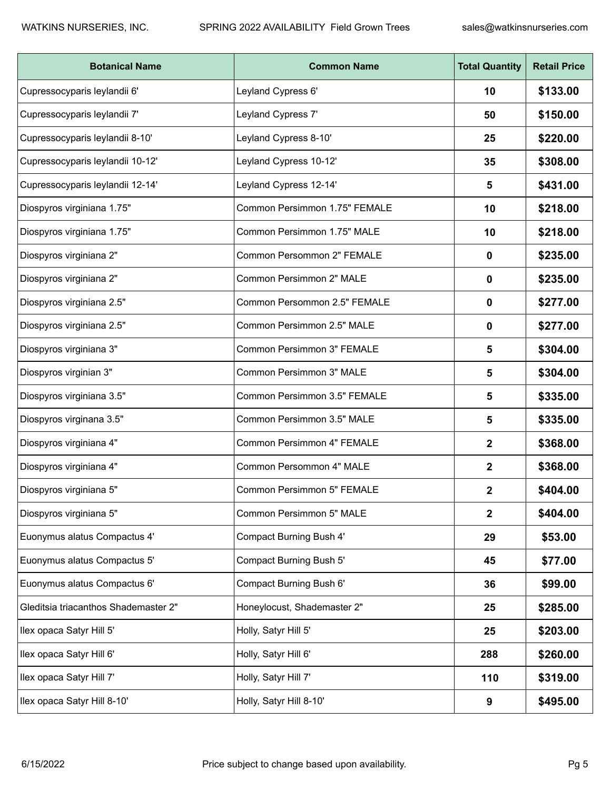| <b>Botanical Name</b>                | <b>Common Name</b>                | <b>Total Quantity</b> | <b>Retail Price</b> |
|--------------------------------------|-----------------------------------|-----------------------|---------------------|
| Cupressocyparis leylandii 6'         | Leyland Cypress 6'                | 10                    | \$133.00            |
| Cupressocyparis leylandii 7'         | Leyland Cypress 7'                | 50                    | \$150.00            |
| Cupressocyparis leylandii 8-10'      | Leyland Cypress 8-10'             | 25                    | \$220.00            |
| Cupressocyparis leylandii 10-12'     | Leyland Cypress 10-12'            | 35                    | \$308.00            |
| Cupressocyparis leylandii 12-14'     | Leyland Cypress 12-14'            | 5                     | \$431.00            |
| Diospyros virginiana 1.75"           | Common Persimmon 1.75" FEMALE     | 10                    | \$218.00            |
| Diospyros virginiana 1.75"           | Common Persimmon 1.75" MALE       | 10                    | \$218.00            |
| Diospyros virginiana 2"              | Common Persommon 2" FEMALE        | 0                     | \$235.00            |
| Diospyros virginiana 2"              | Common Persimmon 2" MALE          | 0                     | \$235.00            |
| Diospyros virginiana 2.5"            | Common Persommon 2.5" FEMALE      | 0                     | \$277.00            |
| Diospyros virginiana 2.5"            | Common Persimmon 2.5" MALE        | 0                     | \$277.00            |
| Diospyros virginiana 3"              | Common Persimmon 3" FEMALE        | 5                     | \$304.00            |
| Diospyros virginian 3"               | Common Persimmon 3" MALE          | 5                     | \$304.00            |
| Diospyros virginiana 3.5"            | Common Persimmon 3.5" FEMALE      | 5                     | \$335.00            |
| Diospyros virginana 3.5"             | Common Persimmon 3.5" MALE        | 5                     | \$335.00            |
| Diospyros virginiana 4"              | Common Persimmon 4" FEMALE        | 2                     | \$368.00            |
| Diospyros virginiana 4"              | Common Persommon 4" MALE          | 2                     | \$368.00            |
| Diospyros virginiana 5"              | <b>Common Persimmon 5" FEMALE</b> | 2                     | \$404.00            |
| Diospyros virginiana 5"              | Common Persimmon 5" MALE          | $\mathbf{2}$          | \$404.00            |
| Euonymus alatus Compactus 4'         | Compact Burning Bush 4'           | 29                    | \$53.00             |
| Euonymus alatus Compactus 5'         | Compact Burning Bush 5'           | 45                    | \$77.00             |
| Euonymus alatus Compactus 6'         | Compact Burning Bush 6'           | 36                    | \$99.00             |
| Gleditsia triacanthos Shademaster 2" | Honeylocust, Shademaster 2"       | 25                    | \$285.00            |
| Ilex opaca Satyr Hill 5'             | Holly, Satyr Hill 5'              | 25                    | \$203.00            |
| llex opaca Satyr Hill 6'             | Holly, Satyr Hill 6'              | 288                   | \$260.00            |
| llex opaca Satyr Hill 7'             | Holly, Satyr Hill 7'              | 110                   | \$319.00            |
| Ilex opaca Satyr Hill 8-10'          | Holly, Satyr Hill 8-10'           | 9                     | \$495.00            |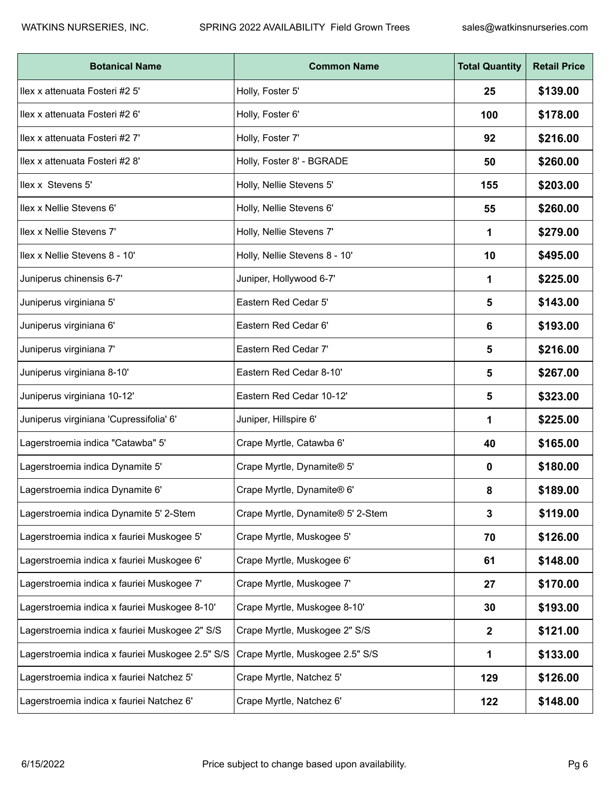| <b>Botanical Name</b>                            | <b>Common Name</b>                | <b>Total Quantity</b> | <b>Retail Price</b> |
|--------------------------------------------------|-----------------------------------|-----------------------|---------------------|
| Ilex x attenuata Fosteri #2 5'                   | Holly, Foster 5'                  | 25                    | \$139.00            |
| Ilex x attenuata Fosteri #2 6'                   | Holly, Foster 6'                  | 100                   | \$178.00            |
| Ilex x attenuata Fosteri #2 7'                   | Holly, Foster 7'                  | 92                    | \$216.00            |
| Ilex x attenuata Fosteri #2 8'                   | Holly, Foster 8' - BGRADE         | 50                    | \$260.00            |
| Ilex x Stevens 5'                                | Holly, Nellie Stevens 5'          | 155                   | \$203.00            |
| Ilex x Nellie Stevens 6'                         | Holly, Nellie Stevens 6'          | 55                    | \$260.00            |
| Ilex x Nellie Stevens 7'                         | Holly, Nellie Stevens 7'          | 1                     | \$279.00            |
| Ilex x Nellie Stevens 8 - 10'                    | Holly, Nellie Stevens 8 - 10'     | 10                    | \$495.00            |
| Juniperus chinensis 6-7'                         | Juniper, Hollywood 6-7'           | 1                     | \$225.00            |
| Juniperus virginiana 5'                          | Eastern Red Cedar 5'              | 5                     | \$143.00            |
| Juniperus virginiana 6'                          | Eastern Red Cedar 6'              | 6                     | \$193.00            |
| Juniperus virginiana 7'                          | Eastern Red Cedar 7'              | 5                     | \$216.00            |
| Juniperus virginiana 8-10'                       | Eastern Red Cedar 8-10'           | 5                     | \$267.00            |
| Juniperus virginiana 10-12'                      | Eastern Red Cedar 10-12'          | 5                     | \$323.00            |
| Juniperus virginiana 'Cupressifolia' 6'          | Juniper, Hillspire 6'             | 1                     | \$225.00            |
| Lagerstroemia indica "Catawba" 5'                | Crape Myrtle, Catawba 6'          | 40                    | \$165.00            |
| Lagerstroemia indica Dynamite 5'                 | Crape Myrtle, Dynamite® 5'        | 0                     | \$180.00            |
| Lagerstroemia indica Dynamite 6'                 | Crape Myrtle, Dynamite® 6'        | 8                     | \$189.00            |
| Lagerstroemia indica Dynamite 5' 2-Stem          | Crape Myrtle, Dynamite® 5' 2-Stem | 3                     | \$119.00            |
| Lagerstroemia indica x fauriei Muskogee 5'       | Crape Myrtle, Muskogee 5'         | 70                    | \$126.00            |
| Lagerstroemia indica x fauriei Muskogee 6'       | Crape Myrtle, Muskogee 6'         | 61                    | \$148.00            |
| Lagerstroemia indica x fauriei Muskogee 7'       | Crape Myrtle, Muskogee 7'         | 27                    | \$170.00            |
| Lagerstroemia indica x fauriei Muskogee 8-10'    | Crape Myrtle, Muskogee 8-10'      | 30                    | \$193.00            |
| Lagerstroemia indica x fauriei Muskogee 2" S/S   | Crape Myrtle, Muskogee 2" S/S     | $\mathbf{2}$          | \$121.00            |
| Lagerstroemia indica x fauriei Muskogee 2.5" S/S | Crape Myrtle, Muskogee 2.5" S/S   | 1                     | \$133.00            |
| Lagerstroemia indica x fauriei Natchez 5'        | Crape Myrtle, Natchez 5'          | 129                   | \$126.00            |
| Lagerstroemia indica x fauriei Natchez 6'        | Crape Myrtle, Natchez 6'          | 122                   | \$148.00            |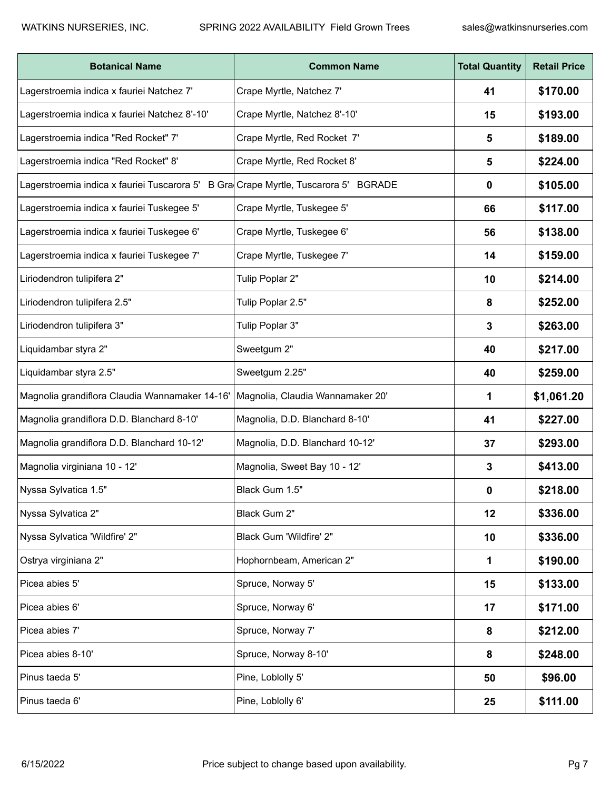| <b>Botanical Name</b>                                                               | <b>Common Name</b>               | <b>Total Quantity</b> | <b>Retail Price</b> |
|-------------------------------------------------------------------------------------|----------------------------------|-----------------------|---------------------|
| Lagerstroemia indica x fauriei Natchez 7'                                           | Crape Myrtle, Natchez 7'         | 41                    | \$170.00            |
| Lagerstroemia indica x fauriei Natchez 8'-10'                                       | Crape Myrtle, Natchez 8'-10'     | 15                    | \$193.00            |
| Lagerstroemia indica "Red Rocket" 7'                                                | Crape Myrtle, Red Rocket 7'      | 5                     | \$189.00            |
| Lagerstroemia indica "Red Rocket" 8'                                                | Crape Myrtle, Red Rocket 8'      | 5                     | \$224.00            |
| Lagerstroemia indica x fauriei Tuscarora 5' B Gra Crape Myrtle, Tuscarora 5' BGRADE |                                  | 0                     | \$105.00            |
| Lagerstroemia indica x fauriei Tuskegee 5'                                          | Crape Myrtle, Tuskegee 5'        | 66                    | \$117.00            |
| Lagerstroemia indica x fauriei Tuskegee 6'                                          | Crape Myrtle, Tuskegee 6'        | 56                    | \$138.00            |
| Lagerstroemia indica x fauriei Tuskegee 7'                                          | Crape Myrtle, Tuskegee 7'        | 14                    | \$159.00            |
| Liriodendron tulipifera 2"                                                          | Tulip Poplar 2"                  | 10                    | \$214.00            |
| Liriodendron tulipifera 2.5"                                                        | Tulip Poplar 2.5"                | 8                     | \$252.00            |
| Liriodendron tulipifera 3"                                                          | Tulip Poplar 3"                  | 3                     | \$263.00            |
| Liquidambar styra 2"                                                                | Sweetgum 2"                      | 40                    | \$217.00            |
| Liquidambar styra 2.5"                                                              | Sweetgum 2.25"                   | 40                    | \$259.00            |
| Magnolia grandiflora Claudia Wannamaker 14-16'                                      | Magnolia, Claudia Wannamaker 20' | 1                     | \$1,061.20          |
| Magnolia grandiflora D.D. Blanchard 8-10'                                           | Magnolia, D.D. Blanchard 8-10'   | 41                    | \$227.00            |
| Magnolia grandiflora D.D. Blanchard 10-12'                                          | Magnolia, D.D. Blanchard 10-12'  | 37                    | \$293.00            |
| Magnolia virginiana 10 - 12'                                                        | Magnolia, Sweet Bay 10 - 12'     | 3                     | \$413.00            |
| Nyssa Sylvatica 1.5"                                                                | Black Gum 1.5"                   | 0                     | \$218.00            |
| Nyssa Sylvatica 2"                                                                  | Black Gum 2"                     | 12                    | \$336.00            |
| Nyssa Sylvatica 'Wildfire' 2"                                                       | Black Gum 'Wildfire' 2"          | 10                    | \$336.00            |
| Ostrya virginiana 2"                                                                | Hophornbeam, American 2"         | 1                     | \$190.00            |
| Picea abies 5'                                                                      | Spruce, Norway 5'                | 15                    | \$133.00            |
| Picea abies 6'                                                                      | Spruce, Norway 6'                | 17                    | \$171.00            |
| Picea abies 7'                                                                      | Spruce, Norway 7'                | 8                     | \$212.00            |
| Picea abies 8-10'                                                                   | Spruce, Norway 8-10'             | 8                     | \$248.00            |
| Pinus taeda 5'                                                                      | Pine, Loblolly 5'                | 50                    | \$96.00             |
| Pinus taeda 6'                                                                      | Pine, Loblolly 6'                | 25                    | \$111.00            |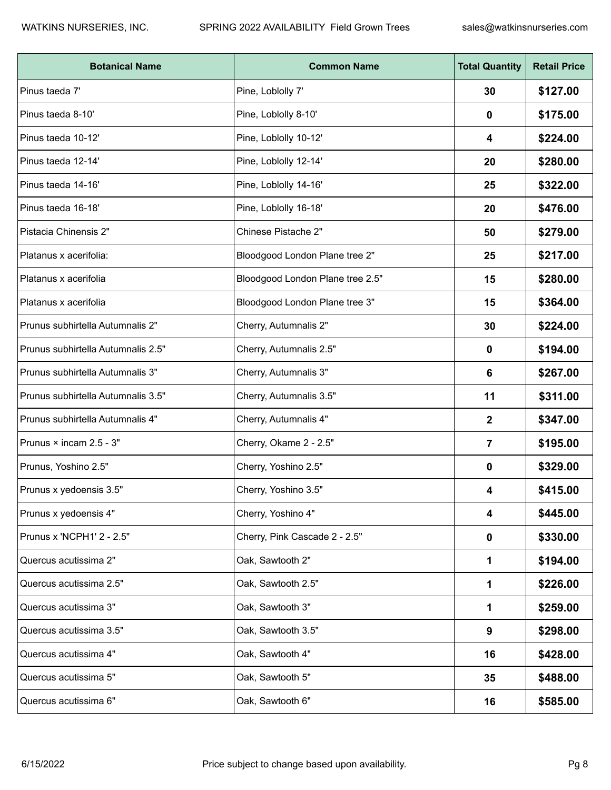| <b>Botanical Name</b>              | <b>Common Name</b>               | <b>Total Quantity</b> | <b>Retail Price</b> |
|------------------------------------|----------------------------------|-----------------------|---------------------|
| Pinus taeda 7'                     | Pine, Loblolly 7'                | 30                    | \$127.00            |
| Pinus taeda 8-10'                  | Pine, Loblolly 8-10'             | 0                     | \$175.00            |
| Pinus taeda 10-12'                 | Pine, Loblolly 10-12'            | 4                     | \$224.00            |
| Pinus taeda 12-14'                 | Pine, Loblolly 12-14'            | 20                    | \$280.00            |
| Pinus taeda 14-16'                 | Pine, Loblolly 14-16'            | 25                    | \$322.00            |
| Pinus taeda 16-18'                 | Pine, Loblolly 16-18'            | 20                    | \$476.00            |
| Pistacia Chinensis 2"              | Chinese Pistache 2"              | 50                    | \$279.00            |
| Platanus x acerifolia:             | Bloodgood London Plane tree 2"   | 25                    | \$217.00            |
| Platanus x acerifolia              | Bloodgood London Plane tree 2.5" | 15                    | \$280.00            |
| Platanus x acerifolia              | Bloodgood London Plane tree 3"   | 15                    | \$364.00            |
| Prunus subhirtella Autumnalis 2"   | Cherry, Autumnalis 2"            | 30                    | \$224.00            |
| Prunus subhirtella Autumnalis 2.5" | Cherry, Autumnalis 2.5"          | 0                     | \$194.00            |
| Prunus subhirtella Autumnalis 3"   | Cherry, Autumnalis 3"            | 6                     | \$267.00            |
| Prunus subhirtella Autumnalis 3.5" | Cherry, Autumnalis 3.5"          | 11                    | \$311.00            |
| Prunus subhirtella Autumnalis 4"   | Cherry, Autumnalis 4"            | 2                     | \$347.00            |
| Prunus × incam 2.5 - 3"            | Cherry, Okame 2 - 2.5"           | 7                     | \$195.00            |
| Prunus, Yoshino 2.5"               | Cherry, Yoshino 2.5"             | 0                     | \$329.00            |
| Prunus x yedoensis 3.5"            | Cherry, Yoshino 3.5"             | 4                     | \$415.00            |
| Prunus x yedoensis 4"              | Cherry, Yoshino 4"               | 4                     | \$445.00            |
| Prunus x 'NCPH1' 2 - 2.5"          | Cherry, Pink Cascade 2 - 2.5"    | 0                     | \$330.00            |
| Quercus acutissima 2"              | Oak, Sawtooth 2"                 | 1                     | \$194.00            |
| Quercus acutissima 2.5"            | Oak, Sawtooth 2.5"               | 1                     | \$226.00            |
| Quercus acutissima 3"              | Oak, Sawtooth 3"                 | 1                     | \$259.00            |
| Quercus acutissima 3.5"            | Oak, Sawtooth 3.5"               | 9                     | \$298.00            |
| Quercus acutissima 4"              | Oak, Sawtooth 4"                 | 16                    | \$428.00            |
| Quercus acutissima 5"              | Oak, Sawtooth 5"                 | 35                    | \$488.00            |
| Quercus acutissima 6"              | Oak, Sawtooth 6"                 | 16                    | \$585.00            |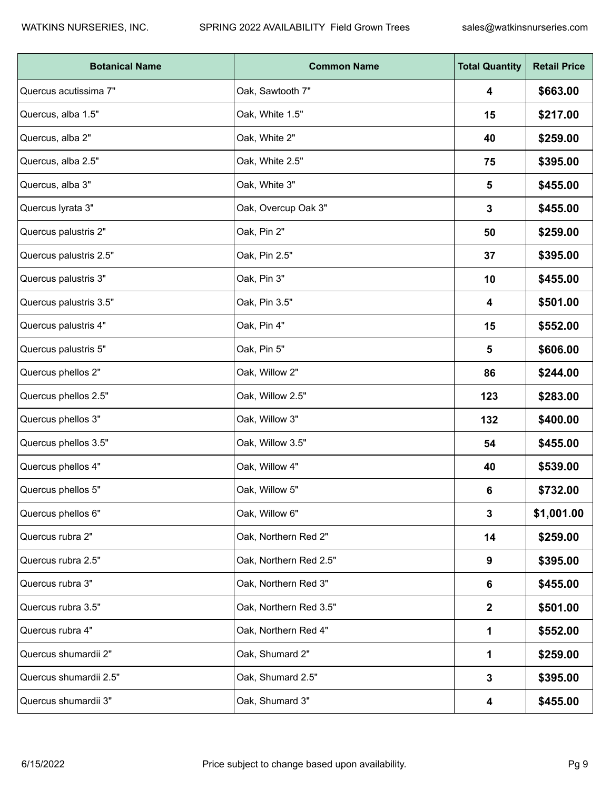| <b>Botanical Name</b>  | <b>Common Name</b>     | <b>Total Quantity</b> | <b>Retail Price</b> |
|------------------------|------------------------|-----------------------|---------------------|
| Quercus acutissima 7"  | Oak, Sawtooth 7"       | 4                     | \$663.00            |
| Quercus, alba 1.5"     | Oak, White 1.5"        | 15                    | \$217.00            |
| Quercus, alba 2"       | Oak, White 2"          | 40                    | \$259.00            |
| Quercus, alba 2.5"     | Oak, White 2.5"        | 75                    | \$395.00            |
| Quercus, alba 3"       | Oak, White 3"          | 5                     | \$455.00            |
| Quercus lyrata 3"      | Oak, Overcup Oak 3"    | $\mathbf 3$           | \$455.00            |
| Quercus palustris 2"   | Oak, Pin 2"            | 50                    | \$259.00            |
| Quercus palustris 2.5" | Oak, Pin 2.5"          | 37                    | \$395.00            |
| Quercus palustris 3"   | Oak, Pin 3"            | 10                    | \$455.00            |
| Quercus palustris 3.5" | Oak, Pin 3.5"          | 4                     | \$501.00            |
| Quercus palustris 4"   | Oak, Pin 4"            | 15                    | \$552.00            |
| Quercus palustris 5"   | Oak, Pin 5"            | 5                     | \$606.00            |
| Quercus phellos 2"     | Oak, Willow 2"         | 86                    | \$244.00            |
| Quercus phellos 2.5"   | Oak, Willow 2.5"       | 123                   | \$283.00            |
| Quercus phellos 3"     | Oak, Willow 3"         | 132                   | \$400.00            |
| Quercus phellos 3.5"   | Oak, Willow 3.5"       | 54                    | \$455.00            |
| Quercus phellos 4"     | Oak, Willow 4"         | 40                    | \$539.00            |
| Quercus phellos 5"     | Oak, Willow 5"         | 6                     | \$732.00            |
| Quercus phellos 6"     | Oak, Willow 6"         | $\mathbf{3}$          | \$1,001.00          |
| Quercus rubra 2"       | Oak, Northern Red 2"   | 14                    | \$259.00            |
| Quercus rubra 2.5"     | Oak, Northern Red 2.5" | 9                     | \$395.00            |
| Quercus rubra 3"       | Oak, Northern Red 3"   | 6                     | \$455.00            |
| Quercus rubra 3.5"     | Oak, Northern Red 3.5" | $\mathbf{2}$          | \$501.00            |
| Quercus rubra 4"       | Oak, Northern Red 4"   | 1                     | \$552.00            |
| Quercus shumardii 2"   | Oak, Shumard 2"        | 1                     | \$259.00            |
| Quercus shumardii 2.5" | Oak, Shumard 2.5"      | $\mathbf 3$           | \$395.00            |
| Quercus shumardii 3"   | Oak, Shumard 3"        | 4                     | \$455.00            |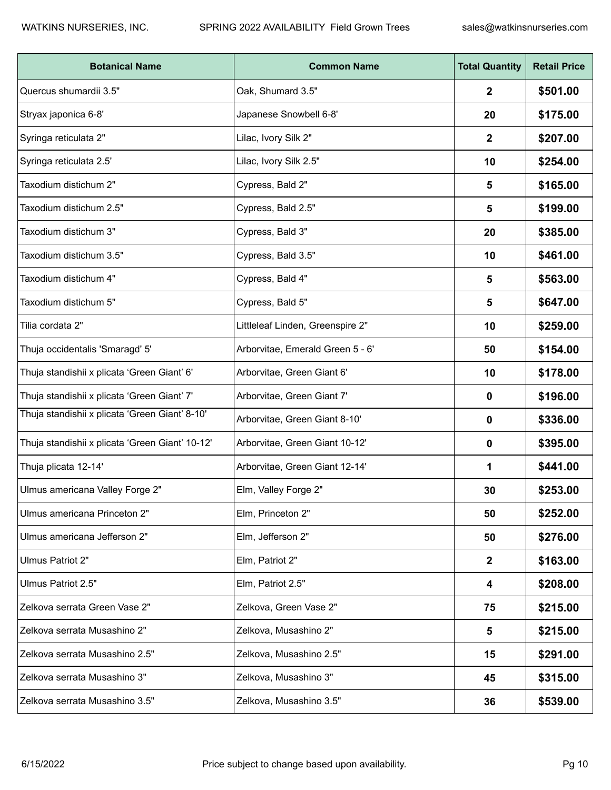| <b>Botanical Name</b>                           | <b>Common Name</b>               | <b>Total Quantity</b> | <b>Retail Price</b> |
|-------------------------------------------------|----------------------------------|-----------------------|---------------------|
| Quercus shumardii 3.5"                          | Oak, Shumard 3.5"                | 2                     | \$501.00            |
| Stryax japonica 6-8'                            | Japanese Snowbell 6-8'           | 20                    | \$175.00            |
| Syringa reticulata 2"                           | Lilac, Ivory Silk 2"             | 2                     | \$207.00            |
| Syringa reticulata 2.5'                         | Lilac, Ivory Silk 2.5"           | 10                    | \$254.00            |
| Taxodium distichum 2"                           | Cypress, Bald 2"                 | 5                     | \$165.00            |
| Taxodium distichum 2.5"                         | Cypress, Bald 2.5"               | $\sqrt{5}$            | \$199.00            |
| Taxodium distichum 3"                           | Cypress, Bald 3"                 | 20                    | \$385.00            |
| Taxodium distichum 3.5"                         | Cypress, Bald 3.5"               | 10                    | \$461.00            |
| Taxodium distichum 4"                           | Cypress, Bald 4"                 | 5                     | \$563.00            |
| Taxodium distichum 5"                           | Cypress, Bald 5"                 | 5                     | \$647.00            |
| Tilia cordata 2"                                | Littleleaf Linden, Greenspire 2" | 10                    | \$259.00            |
| Thuja occidentalis 'Smaragd' 5'                 | Arborvitae, Emerald Green 5 - 6' | 50                    | \$154.00            |
| Thuja standishii x plicata 'Green Giant' 6'     | Arborvitae, Green Giant 6'       | 10                    | \$178.00            |
| Thuja standishii x plicata 'Green Giant' 7'     | Arborvitae, Green Giant 7'       | 0                     | \$196.00            |
| Thuja standishii x plicata 'Green Giant' 8-10'  | Arborvitae, Green Giant 8-10'    | 0                     | \$336.00            |
| Thuja standishii x plicata 'Green Giant' 10-12' | Arborvitae, Green Giant 10-12'   | 0                     | \$395.00            |
| Thuja plicata 12-14'                            | Arborvitae, Green Giant 12-14'   | 1                     | \$441.00            |
| Ulmus americana Valley Forge 2"                 | Elm, Valley Forge 2"             | 30                    | \$253.00            |
| Ulmus americana Princeton 2"                    | Elm, Princeton 2"                | 50                    | \$252.00            |
| Ulmus americana Jefferson 2"                    | Elm, Jefferson 2"                | 50                    | \$276.00            |
| Ulmus Patriot 2"                                | Elm, Patriot 2"                  | $\mathbf{2}$          | \$163.00            |
| Ulmus Patriot 2.5"                              | Elm, Patriot 2.5"                | 4                     | \$208.00            |
| Zelkova serrata Green Vase 2"                   | Zelkova, Green Vase 2"           | 75                    | \$215.00            |
| Zelkova serrata Musashino 2"                    | Zelkova, Musashino 2"            | 5                     | \$215.00            |
| Zelkova serrata Musashino 2.5"                  | Zelkova, Musashino 2.5"          | 15                    | \$291.00            |
| Zelkova serrata Musashino 3"                    | Zelkova, Musashino 3"            | 45                    | \$315.00            |
| Zelkova serrata Musashino 3.5"                  | Zelkova, Musashino 3.5"          | 36                    | \$539.00            |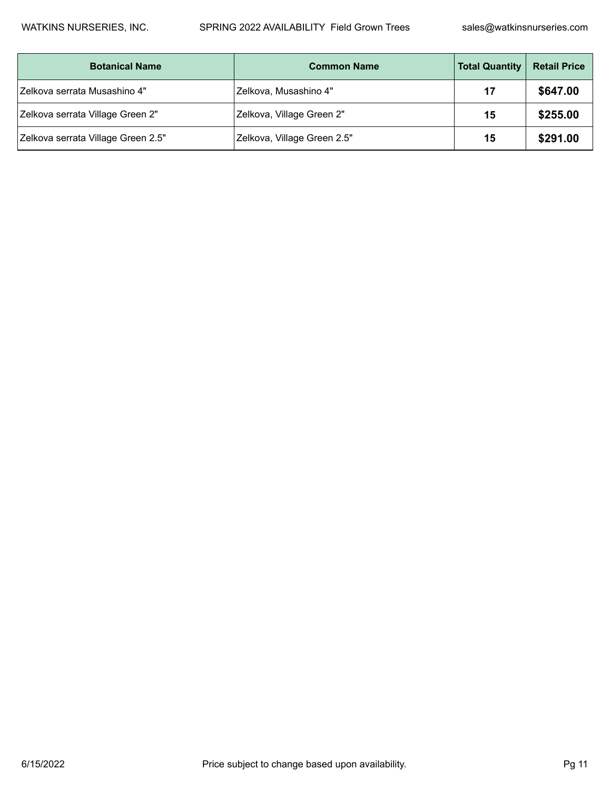| <b>Botanical Name</b>              | <b>Common Name</b>          | <b>Total Quantity</b> | <b>Retail Price</b> |
|------------------------------------|-----------------------------|-----------------------|---------------------|
| Zelkova serrata Musashino 4"       | Zelkova, Musashino 4"       | 17                    | \$647.00            |
| Zelkova serrata Village Green 2"   | Zelkova, Village Green 2"   | 15                    | \$255.00            |
| Zelkova serrata Village Green 2.5" | Zelkova, Village Green 2.5" | 15                    | \$291.00            |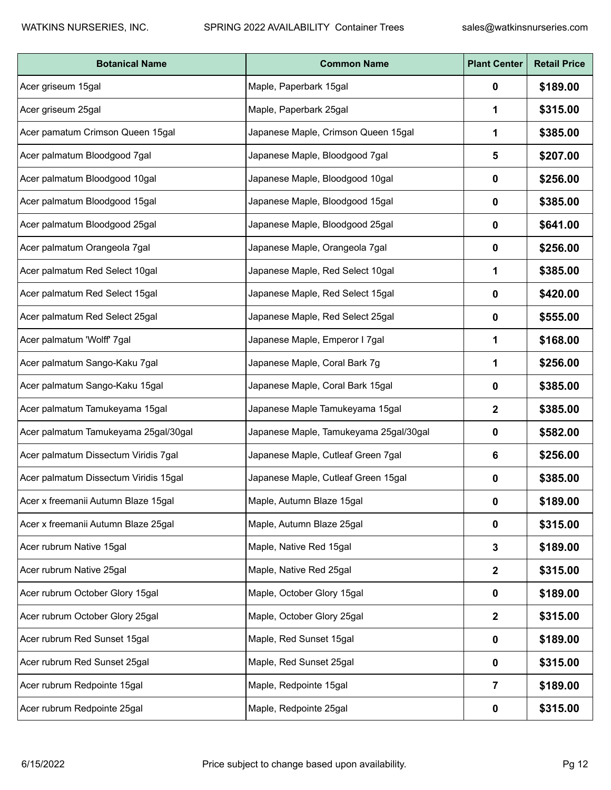| <b>Botanical Name</b>                 | <b>Common Name</b>                     | <b>Plant Center</b> | <b>Retail Price</b> |
|---------------------------------------|----------------------------------------|---------------------|---------------------|
| Acer griseum 15gal                    | Maple, Paperbark 15gal                 | 0                   | \$189.00            |
| Acer griseum 25gal                    | Maple, Paperbark 25gal                 |                     | \$315.00            |
| Acer pamatum Crimson Queen 15gal      | Japanese Maple, Crimson Queen 15gal    |                     | \$385.00            |
| Acer palmatum Bloodgood 7gal          | Japanese Maple, Bloodgood 7gal         | 5                   | \$207.00            |
| Acer palmatum Bloodgood 10gal         | Japanese Maple, Bloodgood 10gal        | 0                   | \$256.00            |
| Acer palmatum Bloodgood 15gal         | Japanese Maple, Bloodgood 15gal        | 0                   | \$385.00            |
| Acer palmatum Bloodgood 25gal         | Japanese Maple, Bloodgood 25gal        | 0                   | \$641.00            |
| Acer palmatum Orangeola 7gal          | Japanese Maple, Orangeola 7gal         | 0                   | \$256.00            |
| Acer palmatum Red Select 10gal        | Japanese Maple, Red Select 10gal       |                     | \$385.00            |
| Acer palmatum Red Select 15gal        | Japanese Maple, Red Select 15gal       | 0                   | \$420.00            |
| Acer palmatum Red Select 25gal        | Japanese Maple, Red Select 25gal       | 0                   | \$555.00            |
| Acer palmatum 'Wolff' 7gal            | Japanese Maple, Emperor I 7gal         |                     | \$168.00            |
| Acer palmatum Sango-Kaku 7gal         | Japanese Maple, Coral Bark 7g          | 1                   | \$256.00            |
| Acer palmatum Sango-Kaku 15gal        | Japanese Maple, Coral Bark 15gal       | 0                   | \$385.00            |
| Acer palmatum Tamukeyama 15gal        | Japanese Maple Tamukeyama 15gal        | 2                   | \$385.00            |
| Acer palmatum Tamukeyama 25gal/30gal  | Japanese Maple, Tamukeyama 25gal/30gal | 0                   | \$582.00            |
| Acer palmatum Dissectum Viridis 7gal  | Japanese Maple, Cutleaf Green 7gal     | 6                   | \$256.00            |
| Acer palmatum Dissectum Viridis 15gal | Japanese Maple, Cutleaf Green 15gal    | 0                   | \$385.00            |
| Acer x freemanii Autumn Blaze 15gal   | Maple, Autumn Blaze 15gal              | 0                   | \$189.00            |
| Acer x freemanii Autumn Blaze 25gal   | Maple, Autumn Blaze 25gal              | $\mathbf 0$         | \$315.00            |
| Acer rubrum Native 15gal              | Maple, Native Red 15gal                | 3                   | \$189.00            |
| Acer rubrum Native 25gal              | Maple, Native Red 25gal                | $\mathbf{2}$        | \$315.00            |
| Acer rubrum October Glory 15gal       | Maple, October Glory 15gal             | 0                   | \$189.00            |
| Acer rubrum October Glory 25gal       | Maple, October Glory 25gal             | $\mathbf{2}$        | \$315.00            |
| Acer rubrum Red Sunset 15gal          | Maple, Red Sunset 15gal                | 0                   | \$189.00            |
| Acer rubrum Red Sunset 25gal          | Maple, Red Sunset 25gal                | $\mathbf 0$         | \$315.00            |
| Acer rubrum Redpointe 15gal           | Maple, Redpointe 15gal                 | $\overline{7}$      | \$189.00            |
| Acer rubrum Redpointe 25gal           | Maple, Redpointe 25gal                 | 0                   | \$315.00            |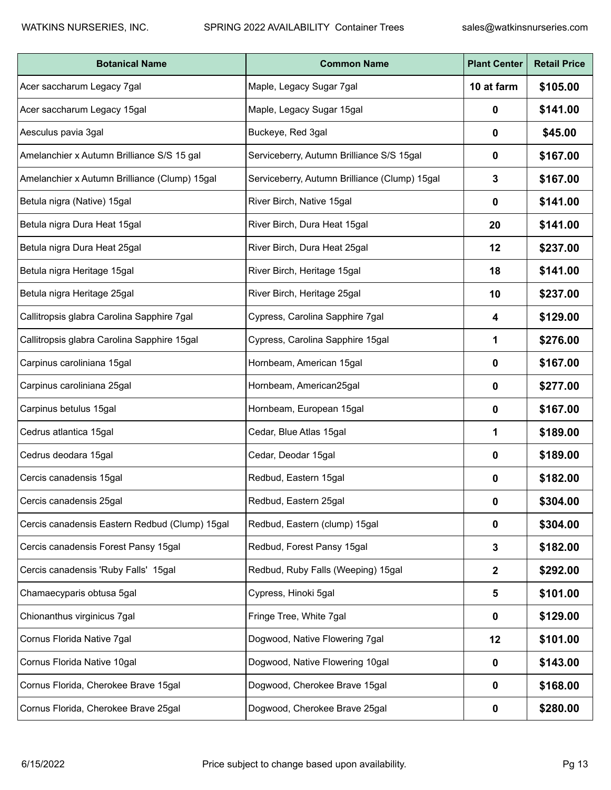| <b>Botanical Name</b>                          | <b>Common Name</b>                            | <b>Plant Center</b> | <b>Retail Price</b> |
|------------------------------------------------|-----------------------------------------------|---------------------|---------------------|
| Acer saccharum Legacy 7gal                     | Maple, Legacy Sugar 7gal                      | 10 at farm          | \$105.00            |
| Acer saccharum Legacy 15gal                    | Maple, Legacy Sugar 15gal                     | 0                   | \$141.00            |
| Aesculus pavia 3gal                            | Buckeye, Red 3gal                             | 0                   | \$45.00             |
| Amelanchier x Autumn Brilliance S/S 15 gal     | Serviceberry, Autumn Brilliance S/S 15gal     | 0                   | \$167.00            |
| Amelanchier x Autumn Brilliance (Clump) 15gal  | Serviceberry, Autumn Brilliance (Clump) 15gal | 3                   | \$167.00            |
| Betula nigra (Native) 15gal                    | River Birch, Native 15gal                     | 0                   | \$141.00            |
| Betula nigra Dura Heat 15gal                   | River Birch, Dura Heat 15gal                  | 20                  | \$141.00            |
| Betula nigra Dura Heat 25gal                   | River Birch, Dura Heat 25gal                  | 12                  | \$237.00            |
| Betula nigra Heritage 15gal                    | River Birch, Heritage 15gal                   | 18                  | \$141.00            |
| Betula nigra Heritage 25gal                    | River Birch, Heritage 25gal                   | 10                  | \$237.00            |
| Callitropsis glabra Carolina Sapphire 7gal     | Cypress, Carolina Sapphire 7gal               | 4                   | \$129.00            |
| Callitropsis glabra Carolina Sapphire 15gal    | Cypress, Carolina Sapphire 15gal              | 1                   | \$276.00            |
| Carpinus caroliniana 15gal                     | Hornbeam, American 15gal                      | 0                   | \$167.00            |
| Carpinus caroliniana 25gal                     | Hornbeam, American25gal                       | 0                   | \$277.00            |
| Carpinus betulus 15gal                         | Hornbeam, European 15gal                      | 0                   | \$167.00            |
| Cedrus atlantica 15gal                         | Cedar, Blue Atlas 15gal                       | 1                   | \$189.00            |
| Cedrus deodara 15gal                           | Cedar, Deodar 15gal                           | 0                   | \$189.00            |
| Cercis canadensis 15gal                        | Redbud, Eastern 15gal                         | 0                   | \$182.00            |
| Cercis canadensis 25gal                        | Redbud, Eastern 25gal                         | 0                   | \$304.00            |
| Cercis canadensis Eastern Redbud (Clump) 15gal | Redbud, Eastern (clump) 15gal                 | $\mathbf 0$         | \$304.00            |
| Cercis canadensis Forest Pansy 15gal           | Redbud, Forest Pansy 15gal                    | 3                   | \$182.00            |
| Cercis canadensis 'Ruby Falls' 15gal           | Redbud, Ruby Falls (Weeping) 15gal            | $\mathbf{2}$        | \$292.00            |
| Chamaecyparis obtusa 5gal                      | Cypress, Hinoki 5gal                          | 5                   | \$101.00            |
| Chionanthus virginicus 7gal                    | Fringe Tree, White 7gal                       | 0                   | \$129.00            |
| Cornus Florida Native 7gal                     | Dogwood, Native Flowering 7gal                | 12                  | \$101.00            |
| Cornus Florida Native 10gal                    | Dogwood, Native Flowering 10gal               | $\mathbf 0$         | \$143.00            |
| Cornus Florida, Cherokee Brave 15gal           | Dogwood, Cherokee Brave 15gal                 | 0                   | \$168.00            |
| Cornus Florida, Cherokee Brave 25gal           | Dogwood, Cherokee Brave 25gal                 | 0                   | \$280.00            |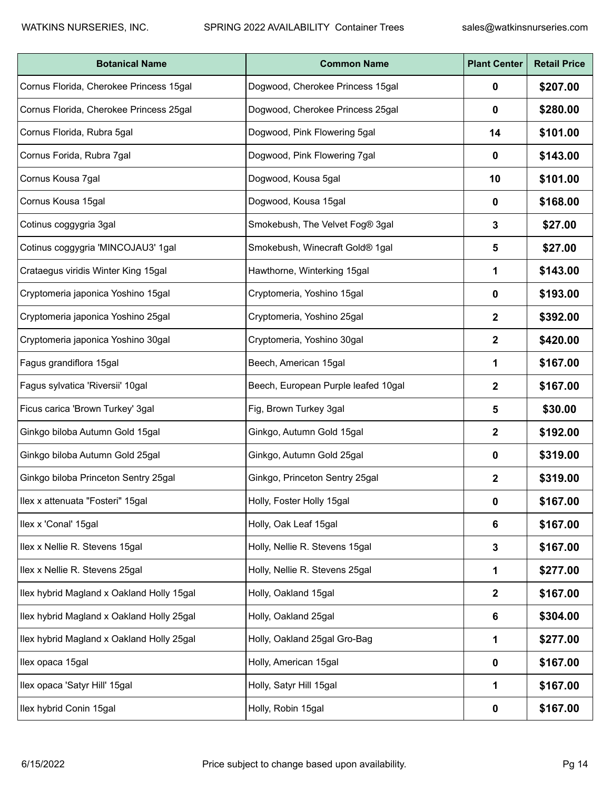| <b>Botanical Name</b>                     | <b>Common Name</b>                  | <b>Plant Center</b>     | <b>Retail Price</b> |
|-------------------------------------------|-------------------------------------|-------------------------|---------------------|
| Cornus Florida, Cherokee Princess 15gal   | Dogwood, Cherokee Princess 15gal    | 0                       | \$207.00            |
| Cornus Florida, Cherokee Princess 25gal   | Dogwood, Cherokee Princess 25gal    | 0                       | \$280.00            |
| Cornus Florida, Rubra 5gal                | Dogwood, Pink Flowering 5gal        | 14                      | \$101.00            |
| Cornus Forida, Rubra 7gal                 | Dogwood, Pink Flowering 7gal        | 0                       | \$143.00            |
| Cornus Kousa 7gal                         | Dogwood, Kousa 5gal                 | 10                      | \$101.00            |
| Cornus Kousa 15gal                        | Dogwood, Kousa 15gal                | 0                       | \$168.00            |
| Cotinus coggygria 3gal                    | Smokebush, The Velvet Fog® 3gal     | 3                       | \$27.00             |
| Cotinus coggygria 'MINCOJAU3' 1gal        | Smokebush, Winecraft Gold® 1gal     | 5                       | \$27.00             |
| Crataegus viridis Winter King 15gal       | Hawthorne, Winterking 15gal         | 1                       | \$143.00            |
| Cryptomeria japonica Yoshino 15gal        | Cryptomeria, Yoshino 15gal          | 0                       | \$193.00            |
| Cryptomeria japonica Yoshino 25gal        | Cryptomeria, Yoshino 25gal          | 2                       | \$392.00            |
| Cryptomeria japonica Yoshino 30gal        | Cryptomeria, Yoshino 30gal          | 2                       | \$420.00            |
| Fagus grandiflora 15gal                   | Beech, American 15gal               | 1                       | \$167.00            |
| Fagus sylvatica 'Riversii' 10gal          | Beech, European Purple leafed 10gal | $\overline{\mathbf{2}}$ | \$167.00            |
| Ficus carica 'Brown Turkey' 3gal          | Fig, Brown Turkey 3gal              | 5                       | \$30.00             |
| Ginkgo biloba Autumn Gold 15gal           | Ginkgo, Autumn Gold 15gal           | 2                       | \$192.00            |
| Ginkgo biloba Autumn Gold 25gal           | Ginkgo, Autumn Gold 25gal           | 0                       | \$319.00            |
| Ginkgo biloba Princeton Sentry 25gal      | Ginkgo, Princeton Sentry 25gal      | 2                       | \$319.00            |
| Ilex x attenuata "Fosteri" 15gal          | Holly, Foster Holly 15gal           | $\mathbf 0$             | \$167.00            |
| Ilex x 'Conal' 15gal                      | Holly, Oak Leaf 15gal               | 6                       | \$167.00            |
| Ilex x Nellie R. Stevens 15gal            | Holly, Nellie R. Stevens 15gal      | 3                       | \$167.00            |
| Ilex x Nellie R. Stevens 25gal            | Holly, Nellie R. Stevens 25gal      | 1                       | \$277.00            |
| Ilex hybrid Magland x Oakland Holly 15gal | Holly, Oakland 15gal                | $\mathbf 2$             | \$167.00            |
| Ilex hybrid Magland x Oakland Holly 25gal | Holly, Oakland 25gal                | 6                       | \$304.00            |
| Ilex hybrid Magland x Oakland Holly 25gal | Holly, Oakland 25gal Gro-Bag        | 1                       | \$277.00            |
| Ilex opaca 15gal                          | Holly, American 15gal               | $\mathbf 0$             | \$167.00            |
| Ilex opaca 'Satyr Hill' 15gal             | Holly, Satyr Hill 15gal             | 1                       | \$167.00            |
| Ilex hybrid Conin 15gal                   | Holly, Robin 15gal                  | 0                       | \$167.00            |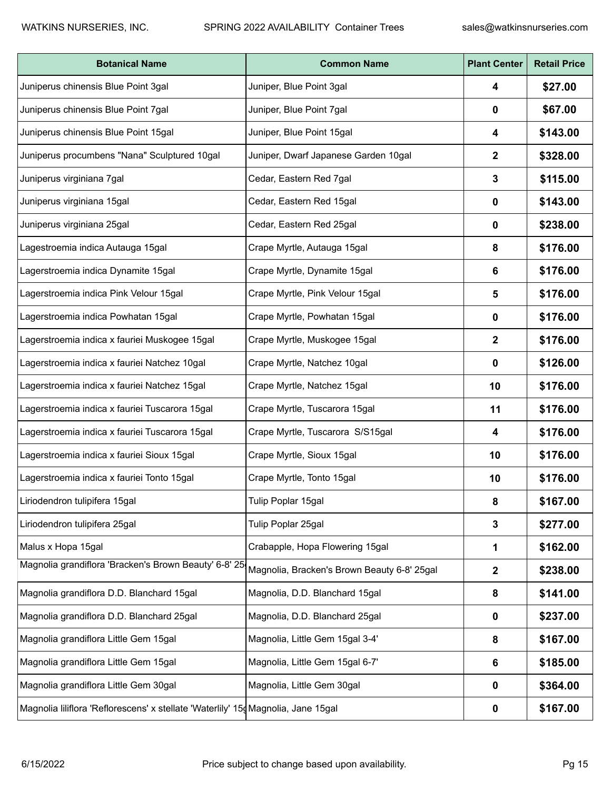| <b>Botanical Name</b>                                                             | <b>Common Name</b>                          | <b>Plant Center</b> | <b>Retail Price</b> |
|-----------------------------------------------------------------------------------|---------------------------------------------|---------------------|---------------------|
| Juniperus chinensis Blue Point 3gal                                               | Juniper, Blue Point 3gal                    | 4                   | \$27.00             |
| Juniperus chinensis Blue Point 7gal                                               | Juniper, Blue Point 7gal                    | 0                   | \$67.00             |
| Juniperus chinensis Blue Point 15gal                                              | Juniper, Blue Point 15gal                   | 4                   | \$143.00            |
| Juniperus procumbens "Nana" Sculptured 10gal                                      | Juniper, Dwarf Japanese Garden 10gal        | 2                   | \$328.00            |
| Juniperus virginiana 7gal                                                         | Cedar, Eastern Red 7gal                     | 3                   | \$115.00            |
| Juniperus virginiana 15gal                                                        | Cedar, Eastern Red 15gal                    | 0                   | \$143.00            |
| Juniperus virginiana 25gal                                                        | Cedar, Eastern Red 25gal                    | 0                   | \$238.00            |
| Lagestroemia indica Autauga 15gal                                                 | Crape Myrtle, Autauga 15gal                 | 8                   | \$176.00            |
| Lagerstroemia indica Dynamite 15gal                                               | Crape Myrtle, Dynamite 15gal                | 6                   | \$176.00            |
| Lagerstroemia indica Pink Velour 15gal                                            | Crape Myrtle, Pink Velour 15gal             | 5                   | \$176.00            |
| Lagerstroemia indica Powhatan 15gal                                               | Crape Myrtle, Powhatan 15gal                | 0                   | \$176.00            |
| Lagerstroemia indica x fauriei Muskogee 15gal                                     | Crape Myrtle, Muskogee 15gal                | 2                   | \$176.00            |
| Lagerstroemia indica x fauriei Natchez 10gal                                      | Crape Myrtle, Natchez 10gal                 | 0                   | \$126.00            |
| Lagerstroemia indica x fauriei Natchez 15gal                                      | Crape Myrtle, Natchez 15gal                 | 10                  | \$176.00            |
| Lagerstroemia indica x fauriei Tuscarora 15gal                                    | Crape Myrtle, Tuscarora 15gal               | 11                  | \$176.00            |
| Lagerstroemia indica x fauriei Tuscarora 15gal                                    | Crape Myrtle, Tuscarora S/S15gal            | 4                   | \$176.00            |
| Lagerstroemia indica x fauriei Sioux 15gal                                        | Crape Myrtle, Sioux 15gal                   | 10                  | \$176.00            |
| Lagerstroemia indica x fauriei Tonto 15gal                                        | Crape Myrtle, Tonto 15gal                   | 10                  | \$176.00            |
| Liriodendron tulipifera 15gal                                                     | Tulip Poplar 15gal                          | 8                   | \$167.00            |
| Liriodendron tulipifera 25gal                                                     | Tulip Poplar 25gal                          | $\mathbf 3$         | \$277.00            |
| Malus x Hopa 15gal                                                                | Crabapple, Hopa Flowering 15gal             | 1                   | \$162.00            |
| Magnolia grandiflora 'Bracken's Brown Beauty' 6-8' 25                             | Magnolia, Bracken's Brown Beauty 6-8' 25gal | $\mathbf{2}$        | \$238.00            |
| Magnolia grandiflora D.D. Blanchard 15gal                                         | Magnolia, D.D. Blanchard 15gal              | 8                   | \$141.00            |
| Magnolia grandiflora D.D. Blanchard 25gal                                         | Magnolia, D.D. Blanchard 25gal              | 0                   | \$237.00            |
| Magnolia grandiflora Little Gem 15gal                                             | Magnolia, Little Gem 15gal 3-4'             | 8                   | \$167.00            |
| Magnolia grandiflora Little Gem 15gal                                             | Magnolia, Little Gem 15gal 6-7'             | 6                   | \$185.00            |
| Magnolia grandiflora Little Gem 30gal                                             | Magnolia, Little Gem 30gal                  | 0                   | \$364.00            |
| Magnolia liliflora 'Reflorescens' x stellate 'Waterlily' 15g Magnolia, Jane 15gal |                                             | 0                   | \$167.00            |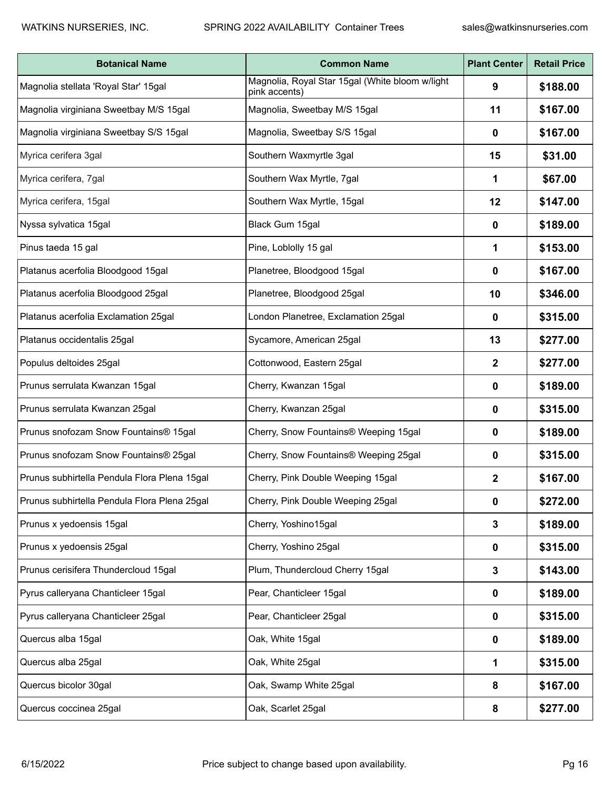| <b>Botanical Name</b>                        | <b>Common Name</b>                                               | <b>Plant Center</b> | <b>Retail Price</b> |
|----------------------------------------------|------------------------------------------------------------------|---------------------|---------------------|
| Magnolia stellata 'Royal Star' 15gal         | Magnolia, Royal Star 15gal (White bloom w/light<br>pink accents) | 9                   | \$188.00            |
| Magnolia virginiana Sweetbay M/S 15gal       | Magnolia, Sweetbay M/S 15gal                                     | 11                  | \$167.00            |
| Magnolia virginiana Sweetbay S/S 15gal       | Magnolia, Sweetbay S/S 15gal                                     | 0                   | \$167.00            |
| Myrica cerifera 3gal                         | Southern Waxmyrtle 3gal                                          | 15                  | \$31.00             |
| Myrica cerifera, 7gal                        | Southern Wax Myrtle, 7gal                                        | 1                   | \$67.00             |
| Myrica cerifera, 15gal                       | Southern Wax Myrtle, 15gal                                       | 12                  | \$147.00            |
| Nyssa sylvatica 15gal                        | Black Gum 15gal                                                  | 0                   | \$189.00            |
| Pinus taeda 15 gal                           | Pine, Loblolly 15 gal                                            | 1                   | \$153.00            |
| Platanus acerfolia Bloodgood 15gal           | Planetree, Bloodgood 15gal                                       | 0                   | \$167.00            |
| Platanus acerfolia Bloodgood 25gal           | Planetree, Bloodgood 25gal                                       | 10                  | \$346.00            |
| Platanus acerfolia Exclamation 25gal         | London Planetree, Exclamation 25gal                              | 0                   | \$315.00            |
| Platanus occidentalis 25gal                  | Sycamore, American 25gal                                         | 13                  | \$277.00            |
| Populus deltoides 25gal                      | Cottonwood, Eastern 25gal                                        | 2                   | \$277.00            |
| Prunus serrulata Kwanzan 15gal               | Cherry, Kwanzan 15gal                                            | 0                   | \$189.00            |
| Prunus serrulata Kwanzan 25gal               | Cherry, Kwanzan 25gal                                            | 0                   | \$315.00            |
| Prunus snofozam Snow Fountains® 15gal        | Cherry, Snow Fountains® Weeping 15gal                            | 0                   | \$189.00            |
| Prunus snofozam Snow Fountains® 25gal        | Cherry, Snow Fountains® Weeping 25gal                            | 0                   | \$315.00            |
| Prunus subhirtella Pendula Flora Plena 15gal | Cherry, Pink Double Weeping 15gal                                | 2                   | \$167.00            |
| Prunus subhirtella Pendula Flora Plena 25gal | Cherry, Pink Double Weeping 25gal                                | 0                   | \$272.00            |
| Prunus x yedoensis 15gal                     | Cherry, Yoshino15gal                                             | 3                   | \$189.00            |
| Prunus x yedoensis 25gal                     | Cherry, Yoshino 25gal                                            | $\mathbf 0$         | \$315.00            |
| Prunus cerisifera Thundercloud 15gal         | Plum, Thundercloud Cherry 15gal                                  | 3                   | \$143.00            |
| Pyrus calleryana Chanticleer 15gal           | Pear, Chanticleer 15gal                                          | 0                   | \$189.00            |
| Pyrus calleryana Chanticleer 25gal           | Pear, Chanticleer 25gal                                          | 0                   | \$315.00            |
| Quercus alba 15gal                           | Oak, White 15gal                                                 | 0                   | \$189.00            |
| Quercus alba 25gal                           | Oak, White 25gal                                                 | 1                   | \$315.00            |
| Quercus bicolor 30gal                        | Oak, Swamp White 25gal                                           | 8                   | \$167.00            |
| Quercus coccinea 25gal                       | Oak, Scarlet 25gal                                               | 8                   | \$277.00            |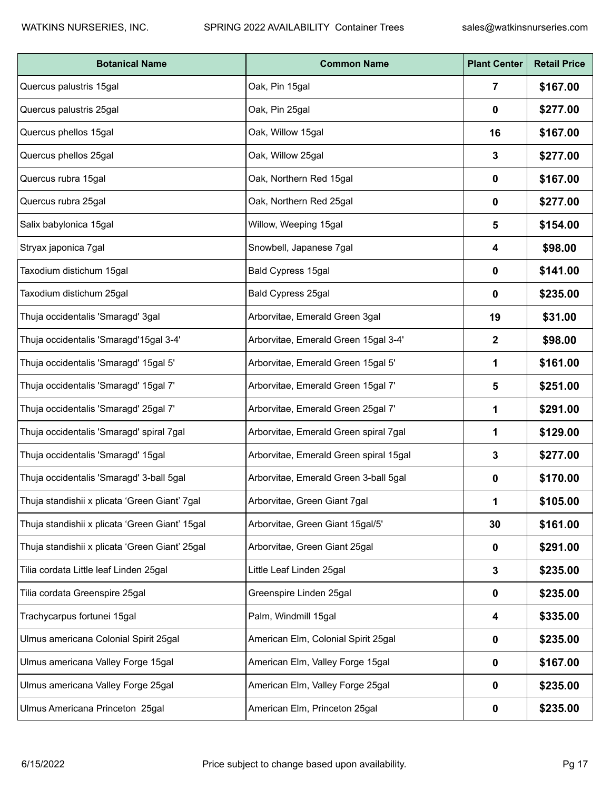| <b>Botanical Name</b>                          | <b>Common Name</b>                     | <b>Plant Center</b> | <b>Retail Price</b> |
|------------------------------------------------|----------------------------------------|---------------------|---------------------|
| Quercus palustris 15gal                        | Oak, Pin 15gal                         | 7                   | \$167.00            |
| Quercus palustris 25gal                        | Oak, Pin 25gal                         | 0                   | \$277.00            |
| Quercus phellos 15gal                          | Oak, Willow 15gal                      | 16                  | \$167.00            |
| Quercus phellos 25gal                          | Oak, Willow 25gal                      | 3                   | \$277.00            |
| Quercus rubra 15gal                            | Oak, Northern Red 15gal                | 0                   | \$167.00            |
| Quercus rubra 25gal                            | Oak, Northern Red 25gal                | 0                   | \$277.00            |
| Salix babylonica 15gal                         | Willow, Weeping 15gal                  | 5                   | \$154.00            |
| Stryax japonica 7gal                           | Snowbell, Japanese 7gal                | 4                   | \$98.00             |
| Taxodium distichum 15gal                       | Bald Cypress 15gal                     | 0                   | \$141.00            |
| Taxodium distichum 25gal                       | Bald Cypress 25gal                     | 0                   | \$235.00            |
| Thuja occidentalis 'Smaragd' 3gal              | Arborvitae, Emerald Green 3gal         | 19                  | \$31.00             |
| Thuja occidentalis 'Smaragd'15gal 3-4'         | Arborvitae, Emerald Green 15gal 3-4'   | 2                   | \$98.00             |
| Thuja occidentalis 'Smaragd' 15gal 5'          | Arborvitae, Emerald Green 15gal 5'     | 1                   | \$161.00            |
| Thuja occidentalis 'Smaragd' 15gal 7'          | Arborvitae, Emerald Green 15gal 7'     | 5                   | \$251.00            |
| Thuja occidentalis 'Smaragd' 25gal 7'          | Arborvitae, Emerald Green 25gal 7'     | 1                   | \$291.00            |
| Thuja occidentalis 'Smaragd' spiral 7gal       | Arborvitae, Emerald Green spiral 7gal  | 1                   | \$129.00            |
| Thuja occidentalis 'Smaragd' 15gal             | Arborvitae, Emerald Green spiral 15gal | 3                   | \$277.00            |
| Thuja occidentalis 'Smaragd' 3-ball 5gal       | Arborvitae, Emerald Green 3-ball 5gal  | 0                   | \$170.00            |
| Thuja standishii x plicata 'Green Giant' 7gal  | Arborvitae, Green Giant 7gal           | 1                   | \$105.00            |
| Thuja standishii x plicata 'Green Giant' 15gal | Arborvitae, Green Giant 15gal/5'       | 30                  | \$161.00            |
| Thuja standishii x plicata 'Green Giant' 25gal | Arborvitae, Green Giant 25gal          | 0                   | \$291.00            |
| Tilia cordata Little leaf Linden 25gal         | Little Leaf Linden 25gal               | 3                   | \$235.00            |
| Tilia cordata Greenspire 25gal                 | Greenspire Linden 25gal                | 0                   | \$235.00            |
| Trachycarpus fortunei 15gal                    | Palm, Windmill 15gal                   | 4                   | \$335.00            |
| Ulmus americana Colonial Spirit 25gal          | American Elm, Colonial Spirit 25gal    | 0                   | \$235.00            |
| Ulmus americana Valley Forge 15gal             | American Elm, Valley Forge 15gal       | 0                   | \$167.00            |
| Ulmus americana Valley Forge 25gal             | American Elm, Valley Forge 25gal       | 0                   | \$235.00            |
| Ulmus Americana Princeton 25gal                | American Elm, Princeton 25gal          | 0                   | \$235.00            |